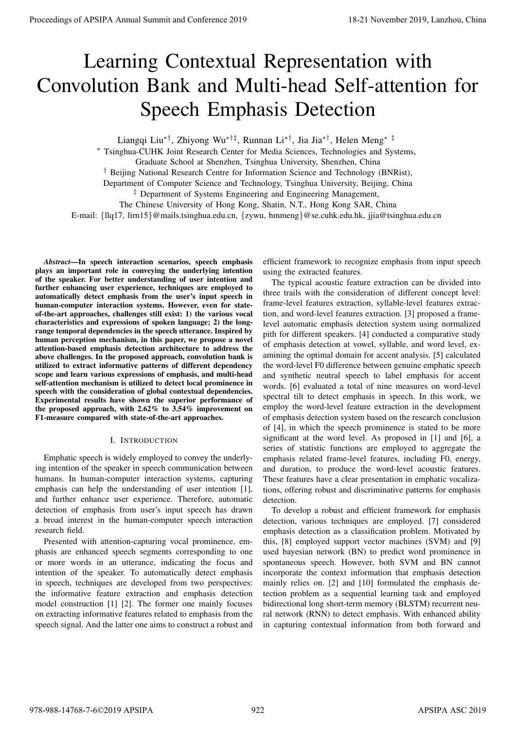# Learning Contextual Representation with Convolution Bank and Multi-head Self-attention for Speech Emphasis Detection

Liangqi Liu∗†, Zhiyong Wu∗†‡, Runnan Li∗†, Jia Jia∗†, Helen Meng∗ ‡

<sup>∗</sup> Tsinghua-CUHK Joint Research Center for Media Sciences, Technologies and Systems,

Graduate School at Shenzhen, Tsinghua University, Shenzhen, China

† Beijing National Research Centre for Information Science and Technology (BNRist),

Department of Computer Science and Technology, Tsinghua University, Beijing, China

<sup>‡</sup> Department of Systems Engineering and Engineering Management,

The Chinese University of Hong Kong, Shatin, N.T., Hong Kong SAR, China E-mail: {llq17, lirn15}@mails.tsinghua.edu.cn, {zywu, hmmeng}@se.cuhk.edu.hk, jjia@tsinghua.edu.cn

*Abstract*—In speech interaction scenarios, speech emphasis plays an important role in conveying the underlying intention of the speaker. For better understanding of user intention and further enhancing user experience, techniques are employed to automatically detect emphasis from the user's input speech in human-computer interaction systems. However, even for stateof-the-art approaches, challenges still exist: 1) the various vocal characteristics and expressions of spoken language; 2) the longrange temporal dependencies in the speech utterance. Inspired by human perception mechanism, in this paper, we propose a novel attention-based emphasis detection architecture to address the above challenges. In the proposed approach, convolution bank is utilized to extract informative patterns of different dependency scope and learn various expressions of emphasis, and multi-head self-attention mechanism is utilized to detect local prominence in speech with the consideration of global contextual dependencies. Experimental results have shown the superior performance of the proposed approach, with 2.62% to 3.54% improvement on F1-measure compared with state-of-the-art approaches.

## I. INTRODUCTION

Emphatic speech is widely employed to convey the underlying intention of the speaker in speech communication between humans. In human-computer interaction systems, capturing emphasis can help the understanding of user intention [1], and further enhance user experience. Therefore, automatic detection of emphasis from user's input speech has drawn a broad interest in the human-computer speech interaction research field.

Presented with attention-capturing vocal prominence, emphasis are enhanced speech segments corresponding to one or more words in an utterance, indicating the focus and intention of the speaker. To automatically detect emphasis in speech, techniques are developed from two perspectives: the informative feature extraction and emphasis detection model construction [1] [2]. The former one mainly focuses on extracting informative features related to emphasis from the speech signal. And the latter one aims to construct a robust and

efficient framework to recognize emphasis from input speech using the extracted features.

The typical acoustic feature extraction can be divided into three trails with the consideration of different concept level: frame-level features extraction, syllable-level features extraction, and word-level features extraction. [3] proposed a framelevel automatic emphasis detection system using normalized pith for different speakers. [4] conducted a comparative study of emphasis detection at vowel, syllable, and word level, examining the optimal domain for accent analysis. [5] calculated the word-level F0 difference between genuine emphatic speech and synthetic neutral speech to label emphasis for accent words. [6] evaluated a total of nine measures on word-level spectral tilt to detect emphasis in speech. In this work, we employ the word-level feature extraction in the development of emphasis detection system based on the research conclusion of [4], in which the speech prominence is stated to be more significant at the word level. As proposed in [1] and [6], a series of statistic functions are employed to aggregate the emphasis related frame-level features, including F0, energy, and duration, to produce the word-level acoustic features. These features have a clear presentation in emphatic vocalizations, offering robust and discriminative patterns for emphasis detection. **Proceeding of APSIPA Annual Summit at China 978-988-14768** (The Research Conference 2019) **Conference 2019** 18-21 November 2019 18-21 November 2019 18-21 November 2019 18-21 November 2019 18-21 November 2019 18-21 Novemb

To develop a robust and efficient framework for emphasis detection, various techniques are employed. [7] considered emphasis detection as a classification problem. Motivated by this, [8] employed support vector machines (SVM) and [9] used bayesian network (BN) to predict word prominence in spontaneous speech. However, both SVM and BN cannot incorporate the context information that emphasis detection mainly relies on. [2] and [10] formulated the emphasis detection problem as a sequential learning task and employed bidirectional long short-term memory (BLSTM) recurrent neural network (RNN) to detect emphasis. With enhanced ability in capturing contextual information from both forward and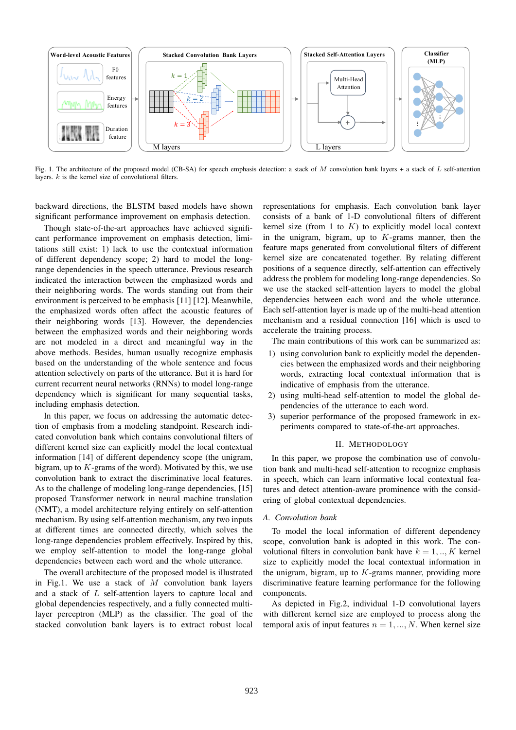

Fig. 1. The architecture of the proposed model (CB-SA) for speech emphasis detection: a stack of M convolution bank layers + a stack of  $L$  self-attention layers.  $k$  is the kernel size of convolutional filters.

backward directions, the BLSTM based models have shown significant performance improvement on emphasis detection.

Though state-of-the-art approaches have achieved significant performance improvement on emphasis detection, limitations still exist: 1) lack to use the contextual information of different dependency scope; 2) hard to model the longrange dependencies in the speech utterance. Previous research indicated the interaction between the emphasized words and their neighboring words. The words standing out from their environment is perceived to be emphasis [11] [12]. Meanwhile, the emphasized words often affect the acoustic features of their neighboring words [13]. However, the dependencies between the emphasized words and their neighboring words are not modeled in a direct and meaningful way in the above methods. Besides, human usually recognize emphasis based on the understanding of the whole sentence and focus attention selectively on parts of the utterance. But it is hard for current recurrent neural networks (RNNs) to model long-range dependency which is significant for many sequential tasks, including emphasis detection.

In this paper, we focus on addressing the automatic detection of emphasis from a modeling standpoint. Research indicated convolution bank which contains convolutional filters of different kernel size can explicitly model the local contextual information [14] of different dependency scope (the unigram, bigram, up to  $K$ -grams of the word). Motivated by this, we use convolution bank to extract the discriminative local features. As to the challenge of modeling long-range dependencies, [15] proposed Transformer network in neural machine translation (NMT), a model architecture relying entirely on self-attention mechanism. By using self-attention mechanism, any two inputs at different times are connected directly, which solves the long-range dependencies problem effectively. Inspired by this, we employ self-attention to model the long-range global dependencies between each word and the whole utterance.

The overall architecture of the proposed model is illustrated in Fig.1. We use a stack of  $M$  convolution bank layers and a stack of L self-attention layers to capture local and global dependencies respectively, and a fully connected multilayer perceptron (MLP) as the classifier. The goal of the stacked convolution bank layers is to extract robust local

representations for emphasis. Each convolution bank layer consists of a bank of 1-D convolutional filters of different kernel size (from 1 to  $K$ ) to explicitly model local context in the unigram, bigram, up to  $K$ -grams manner, then the feature maps generated from convolutional filters of different kernel size are concatenated together. By relating different positions of a sequence directly, self-attention can effectively address the problem for modeling long-range dependencies. So we use the stacked self-attention layers to model the global dependencies between each word and the whole utterance. Each self-attention layer is made up of the multi-head attention mechanism and a residual connection [16] which is used to accelerate the training process.

The main contributions of this work can be summarized as:

- 1) using convolution bank to explicitly model the dependencies between the emphasized words and their neighboring words, extracting local contextual information that is indicative of emphasis from the utterance.
- 2) using multi-head self-attention to model the global dependencies of the utterance to each word.
- 3) superior performance of the proposed framework in experiments compared to state-of-the-art approaches.

#### II. METHODOLOGY

In this paper, we propose the combination use of convolution bank and multi-head self-attention to recognize emphasis in speech, which can learn informative local contextual features and detect attention-aware prominence with the considering of global contextual dependencies.

#### *A. Convolution bank*

To model the local information of different dependency scope, convolution bank is adopted in this work. The convolutional filters in convolution bank have  $k = 1, \dots, K$  kernel size to explicitly model the local contextual information in the unigram, bigram, up to  $K$ -grams manner, providing more discriminative feature learning performance for the following components.

As depicted in Fig.2, individual 1-D convolutional layers with different kernel size are employed to process along the temporal axis of input features  $n = 1, ..., N$ . When kernel size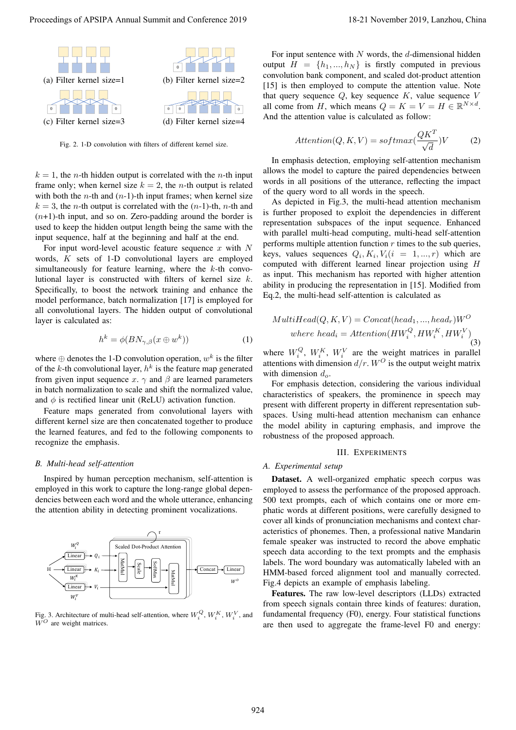

Fig. 2. 1-D convolution with filters of different kernel size.

 $k = 1$ , the *n*-th hidden output is correlated with the *n*-th input frame only; when kernel size  $k = 2$ , the *n*-th output is related with both the *n*-th and  $(n-1)$ -th input frames; when kernel size  $k = 3$ , the *n*-th output is correlated with the  $(n-1)$ -th, *n*-th and  $(n+1)$ -th input, and so on. Zero-padding around the border is used to keep the hidden output length being the same with the input sequence, half at the beginning and half at the end.

For input word-level acoustic feature sequence x with  $N$ words, K sets of 1-D convolutional layers are employed simultaneously for feature learning, where the  $k$ -th convolutional layer is constructed with filters of kernel size k. Specifically, to boost the network training and enhance the model performance, batch normalization [17] is employed for all convolutional layers. The hidden output of convolutional layer is calculated as:

$$
h^k = \phi(BN_{\gamma,\beta}(x \oplus w^k))
$$
 (1)

where  $\oplus$  denotes the 1-D convolution operation,  $w^k$  is the filter of the k-th convolutional layer,  $h^k$  is the feature map generated from given input sequence x.  $\gamma$  and  $\beta$  are learned parameters in batch normalization to scale and shift the normalized value, and  $\phi$  is rectified linear unit (ReLU) activation function.

Feature maps generated from convolutional layers with different kernel size are then concatenated together to produce the learned features, and fed to the following components to recognize the emphasis.

## *B. Multi-head self-attention*

Inspired by human perception mechanism, self-attention is employed in this work to capture the long-range global dependencies between each word and the whole utterance, enhancing the attention ability in detecting prominent vocalizations.



Fig. 3. Architecture of multi-head self-attention, where  $W_i^Q$ ,  $W_i^K$ ,  $W_i^V$ , and  $W^O$  are weight matrices.

For input sentence with  $N$  words, the  $d$ -dimensional hidden output  $H = \{h_1, ..., h_N\}$  is firstly computed in previous convolution bank component, and scaled dot-product attention [15] is then employed to compute the attention value. Note that query sequence  $Q$ , key sequence  $K$ , value sequence  $V$ all come from H, which means  $Q = K = V = H \in \mathbb{R}^{N \times d}$ . And the attention value is calculated as follow:

$$
Attention(Q, K, V) = softmax(\frac{QK^{T}}{\sqrt{d}})V
$$
 (2)

In emphasis detection, employing self-attention mechanism allows the model to capture the paired dependencies between words in all positions of the utterance, reflecting the impact of the query word to all words in the speech.

As depicted in Fig.3, the multi-head attention mechanism is further proposed to exploit the dependencies in different representation subspaces of the input sequence. Enhanced with parallel multi-head computing, multi-head self-attention performs multiple attention function  $r$  times to the sub queries, keys, values sequences  $Q_i, K_i, V_i (i = 1, ..., r)$  which are computed with different learned linear projection using H as input. This mechanism has reported with higher attention ability in producing the representation in [15]. Modified from Eq.2, the multi-head self-attention is calculated as

$$
MultiHead(Q, K, V) = Concat(head_1, ..., head_r)W^O
$$
  
where head<sub>i</sub> =  $Attention(HW_i^Q, HW_i^K, HW_i^V)$  (3)

where  $W_i^Q$ ,  $W_i^K$ ,  $W_i^V$  are the weight matrices in parallel attentions with dimension  $d/r$ .  $W^O$  is the output weight matrix with dimension  $d_o$ .

For emphasis detection, considering the various individual characteristics of speakers, the prominence in speech may present with different property in different representation subspaces. Using multi-head attention mechanism can enhance the model ability in capturing emphasis, and improve the robustness of the proposed approach.

## III. EXPERIMENTS

## *A. Experimental setup*

Dataset. A well-organized emphatic speech corpus was employed to assess the performance of the proposed approach. 500 text prompts, each of which contains one or more emphatic words at different positions, were carefully designed to cover all kinds of pronunciation mechanisms and context characteristics of phonemes. Then, a professional native Mandarin female speaker was instructed to record the above emphatic speech data according to the text prompts and the emphasis labels. The word boundary was automatically labeled with an HMM-based forced alignment tool and manually corrected. Fig.4 depicts an example of emphasis labeling. Proceedings of APSIPA Annual Summit at the forest of 2011 Weither Summit and Conference 2019 18-21 November 2019 18-21 November 2019 18-21 November 2019 18-21 November 2019 18-21 November 2019 18-21 November 2019 18-21 No

Features. The raw low-level descriptors (LLDs) extracted from speech signals contain three kinds of features: duration, fundamental frequency (F0), energy. Four statistical functions are then used to aggregate the frame-level F0 and energy: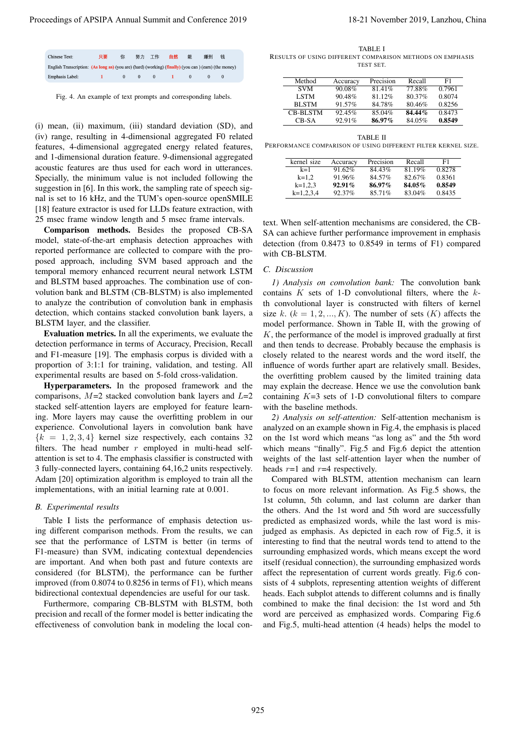| <b>Chinese Text:</b>                                                                                  | 只要 | 你        | 努力       | 工作       | 自然 | 能 | 赚到 | 钱 |  |
|-------------------------------------------------------------------------------------------------------|----|----------|----------|----------|----|---|----|---|--|
| English Transcription: (As long as) (you are) (hard) (working) (finally) (you can) (earn) (the money) |    |          |          |          |    |   |    |   |  |
| Emphasis Label:                                                                                       |    | $\Omega$ | $\Omega$ | $\Omega$ |    |   |    |   |  |

Fig. 4. An example of text prompts and corresponding labels.

(i) mean, (ii) maximum, (iii) standard deviation (SD), and (iv) range, resulting in 4-dimensional aggregated F0 related features, 4-dimensional aggregated energy related features, and 1-dimensional duration feature. 9-dimensional aggregated acoustic features are thus used for each word in utterances. Specially, the minimum value is not included following the suggestion in [6]. In this work, the sampling rate of speech signal is set to 16 kHz, and the TUM's open-source openSMILE [18] feature extractor is used for LLDs feature extraction, with 25 msec frame window length and 5 msec frame intervals.

Comparison methods. Besides the proposed CB-SA model, state-of-the-art emphasis detection approaches with reported performance are collected to compare with the proposed approach, including SVM based approach and the temporal memory enhanced recurrent neural network LSTM and BLSTM based approaches. The combination use of convolution bank and BLSTM (CB-BLSTM) is also implemented to analyze the contribution of convolution bank in emphasis detection, which contains stacked convolution bank layers, a BLSTM layer, and the classifier.

Evaluation metrics. In all the experiments, we evaluate the detection performance in terms of Accuracy, Precision, Recall and F1-measure [19]. The emphasis corpus is divided with a proportion of 3:1:1 for training, validation, and testing. All experimental results are based on 5-fold cross-validation.

Hyperparameters. In the proposed framework and the comparisons,  $M=2$  stacked convolution bank layers and  $L=2$ stacked self-attention layers are employed for feature learning. More layers may cause the overfitting problem in our experience. Convolutional layers in convolution bank have  ${k = 1, 2, 3, 4}$  kernel size respectively, each contains 32 filters. The head number  $r$  employed in multi-head selfattention is set to 4. The emphasis classifier is constructed with 3 fully-connected layers, containing 64,16,2 units respectively. Adam [20] optimization algorithm is employed to train all the implementations, with an initial learning rate at 0.001.

#### *B. Experimental results*

Table I lists the performance of emphasis detection using different comparison methods. From the results, we can see that the performance of LSTM is better (in terms of F1-measure) than SVM, indicating contextual dependencies are important. And when both past and future contexts are considered (for BLSTM), the performance can be further improved (from 0.8074 to 0.8256 in terms of F1), which means bidirectional contextual dependencies are useful for our task.

Furthermore, comparing CB-BLSTM with BLSTM, both precision and recall of the former model is better indicating the effectiveness of convolution bank in modeling the local con-

TABLE I RESULTS OF USING DIFFERENT COMPARISON METHODS ON EMPHASIS TEST SET.

| Method          | Accuracy  | Precision | Recall    | F1     |
|-----------------|-----------|-----------|-----------|--------|
| <b>SVM</b>      | 90.08%    | 81.41%    | 77.88%    | 0.7961 |
| <b>LSTM</b>     | 90.48%    | $81.12\%$ | $80.37\%$ | 0.8074 |
| <b>BLSTM</b>    | $91.57\%$ | 84.78%    | 80.46%    | 0.8256 |
| <b>CB-BLSTM</b> | 92.45%    | 85.04%    | $84.44\%$ | 0.8473 |
| CB-SA           | 92.91%    | 86.97%    | 84.05%    | 0.8549 |

TABLE II PERFORMANCE COMPARISON OF USING DIFFERENT FILTER KERNEL SIZE.

| kernel size | Accuracy  | Precision | Recall    | F1     |
|-------------|-----------|-----------|-----------|--------|
| $k=1$       | $91.62\%$ | 84.43%    | 81.19%    | 0.8278 |
| $k=1.2$     | 91.96%    | 84.57%    | $82.67\%$ | 0.8361 |
| $k=1.2.3$   | $92.91\%$ | $86.97\%$ | 84.05%    | 0.8549 |
| $k=1.2.3.4$ | $92.37\%$ | 85.71%    | 83.04%    | 0.8435 |

text. When self-attention mechanisms are considered, the CB-SA can achieve further performance improvement in emphasis detection (from 0.8473 to 0.8549 in terms of F1) compared with CB-BLSTM.

## *C. Discussion*

*1) Analysis on convolution bank:* The convolution bank contains  $K$  sets of 1-D convolutional filters, where the  $k$ th convolutional layer is constructed with filters of kernel size k.  $(k = 1, 2, ..., K)$ . The number of sets  $(K)$  affects the model performance. Shown in Table II, with the growing of  $K$ , the performance of the model is improved gradually at first and then tends to decrease. Probably because the emphasis is closely related to the nearest words and the word itself, the influence of words further apart are relatively small. Besides, the overfitting problem caused by the limited training data may explain the decrease. Hence we use the convolution bank containing  $K=3$  sets of 1-D convolutional filters to compare with the baseline methods.

*2) Analysis on self-attention:* Self-attention mechanism is analyzed on an example shown in Fig.4, the emphasis is placed on the 1st word which means "as long as" and the 5th word which means "finally". Fig.5 and Fig.6 depict the attention weights of the last self-attention layer when the number of heads  $r=1$  and  $r=4$  respectively.

Compared with BLSTM, attention mechanism can learn to focus on more relevant information. As Fig.5 shows, the 1st column, 5th column, and last column are darker than the others. And the 1st word and 5th word are successfully predicted as emphasized words, while the last word is misjudged as emphasis. As depicted in each row of Fig.5, it is interesting to find that the neutral words tend to attend to the surrounding emphasized words, which means except the word itself (residual connection), the surrounding emphasized words affect the representation of current words greatly. Fig.6 consists of 4 subplots, representing attention weights of different heads. Each subplot attends to different columns and is finally combined to make the final decision: the 1st word and 5th word are perceived as emphasized words. Comparing Fig.6 and Fig.5, multi-head attention (4 heads) helps the model to Proceedings of APSIPA Annual Summit and Conference 2019 18-21 November 2019, Lanzhou, China 925